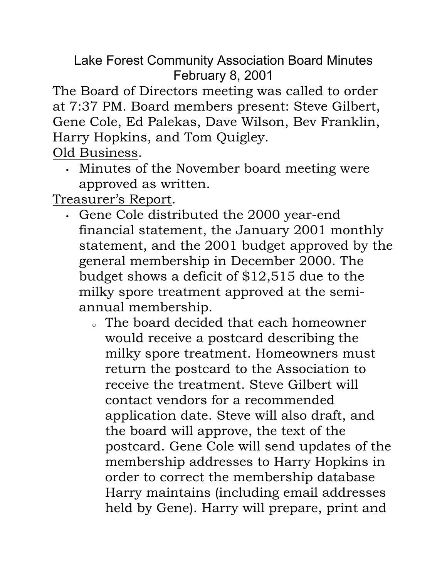Lake Forest Community Association Board Minutes February 8, 2001

The Board of Directors meeting was called to order at 7:37 PM. Board members present: Steve Gilbert, Gene Cole, Ed Palekas, Dave Wilson, Bev Franklin, Harry Hopkins, and Tom Quigley.

Old Business.

• Minutes of the November board meeting were approved as written.

Treasurer's Report.

- Gene Cole distributed the 2000 year-end financial statement, the January 2001 monthly statement, and the 2001 budget approved by the general membership in December 2000. The budget shows a deficit of \$12,515 due to the milky spore treatment approved at the semiannual membership.
	- <sup>o</sup> The board decided that each homeowner would receive a postcard describing the milky spore treatment. Homeowners must return the postcard to the Association to receive the treatment. Steve Gilbert will contact vendors for a recommended application date. Steve will also draft, and the board will approve, the text of the postcard. Gene Cole will send updates of the membership addresses to Harry Hopkins in order to correct the membership database Harry maintains (including email addresses held by Gene). Harry will prepare, print and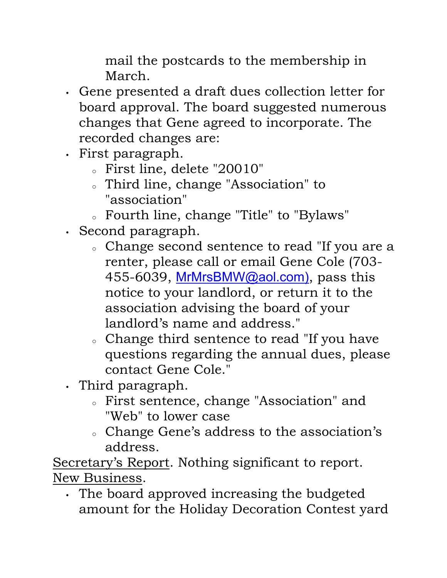mail the postcards to the membership in March.

- Gene presented a draft dues collection letter for board approval. The board suggested numerous changes that Gene agreed to incorporate. The recorded changes are:
- First paragraph.
	- <sup>o</sup> First line, delete "20010"
	- <sup>o</sup> Third line, change "Association" to "association"
	- <sup>o</sup> Fourth line, change "Title" to "Bylaws"
- Second paragraph.
	- <sup>o</sup> Change second sentence to read "If you are a renter, please call or email Gene Cole (703- 455-6039, MrMrsBMW@aol.com), pass this notice to your landlord, or return it to the association advising the board of your landlord's name and address."
	- <sup>o</sup> Change third sentence to read "If you have questions regarding the annual dues, please contact Gene Cole."
- Third paragraph.
	- <sup>o</sup> First sentence, change "Association" and "Web" to lower case
	- <sup>o</sup> Change Gene's address to the association's address.

Secretary's Report. Nothing significant to report. New Business.

• The board approved increasing the budgeted amount for the Holiday Decoration Contest yard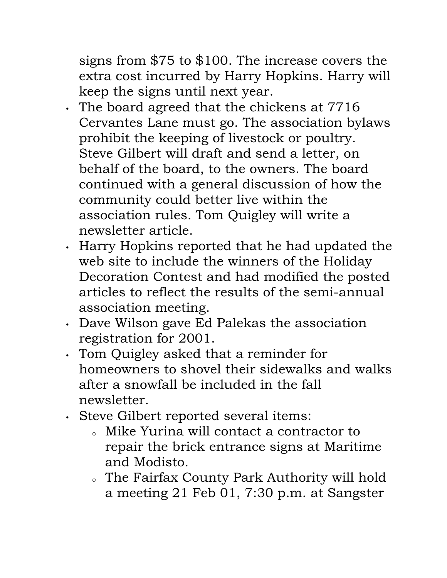signs from \$75 to \$100. The increase covers the extra cost incurred by Harry Hopkins. Harry will keep the signs until next year.

- The board agreed that the chickens at 7716 Cervantes Lane must go. The association bylaws prohibit the keeping of livestock or poultry. Steve Gilbert will draft and send a letter, on behalf of the board, to the owners. The board continued with a general discussion of how the community could better live within the association rules. Tom Quigley will write a newsletter article.
- Harry Hopkins reported that he had updated the web site to include the winners of the Holiday Decoration Contest and had modified the posted articles to reflect the results of the semi-annual association meeting.
- Dave Wilson gave Ed Palekas the association registration for 2001.
- Tom Quigley asked that a reminder for homeowners to shovel their sidewalks and walks after a snowfall be included in the fall newsletter.
- Steve Gilbert reported several items:
	- <sup>o</sup> Mike Yurina will contact a contractor to repair the brick entrance signs at Maritime and Modisto.
	- <sup>o</sup> The Fairfax County Park Authority will hold a meeting 21 Feb 01, 7:30 p.m. at Sangster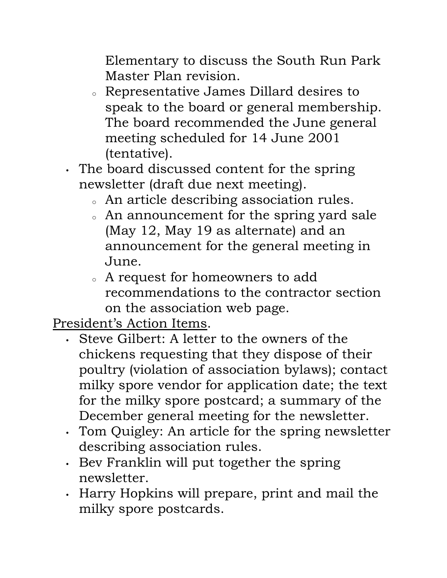Elementary to discuss the South Run Park Master Plan revision.

- <sup>o</sup> Representative James Dillard desires to speak to the board or general membership. The board recommended the June general meeting scheduled for 14 June 2001 (tentative).
- The board discussed content for the spring newsletter (draft due next meeting).
	- <sup>o</sup> An article describing association rules.
	- . An announcement for the spring yard sale (May 12, May 19 as alternate) and an announcement for the general meeting in June.
	- <sup>o</sup> A request for homeowners to add recommendations to the contractor section on the association web page.

President's Action Items.

- Steve Gilbert: A letter to the owners of the chickens requesting that they dispose of their poultry (violation of association bylaws); contact milky spore vendor for application date; the text for the milky spore postcard; a summary of the December general meeting for the newsletter.
- Tom Quigley: An article for the spring newsletter describing association rules.
- Bev Franklin will put together the spring newsletter.
- Harry Hopkins will prepare, print and mail the milky spore postcards.